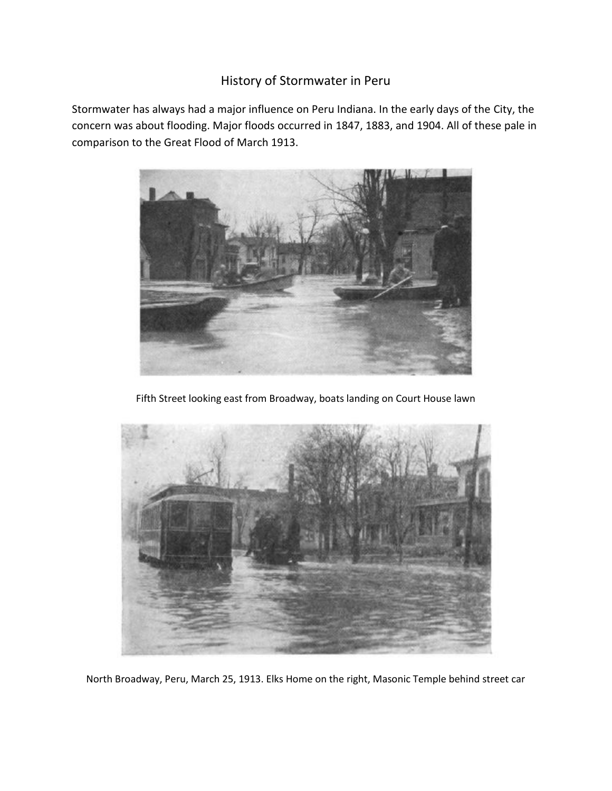## History of Stormwater in Peru

Stormwater has always had a major influence on Peru Indiana. In the early days of the City, the concern was about flooding. Major floods occurred in 1847, 1883, and 1904. All of these pale in comparison to the Great Flood of March 1913.



Fifth Street looking east from Broadway, boats landing on Court House lawn



North Broadway, Peru, March 25, 1913. Elks Home on the right, Masonic Temple behind street car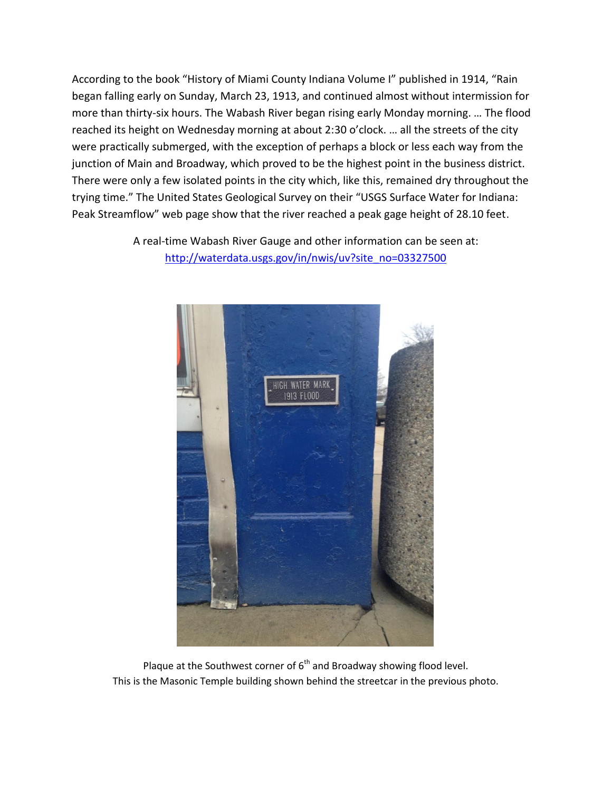According to the book "History of Miami County Indiana Volume I" published in 1914, "Rain began falling early on Sunday, March 23, 1913, and continued almost without intermission for more than thirty-six hours. The Wabash River began rising early Monday morning. … The flood reached its height on Wednesday morning at about 2:30 o'clock. … all the streets of the city were practically submerged, with the exception of perhaps a block or less each way from the junction of Main and Broadway, which proved to be the highest point in the business district. There were only a few isolated points in the city which, like this, remained dry throughout the trying time." The United States Geological Survey on their "USGS Surface Water for Indiana: Peak Streamflow" web page show that the river reached a peak gage height of 28.10 feet.

> A real-time Wabash River Gauge and other information can be seen at: [http://waterdata.usgs.gov/in/nwis/uv?site\\_no=03327500](http://waterdata.usgs.gov/in/nwis/uv?site_no=03327500)



Plaque at the Southwest corner of  $6<sup>th</sup>$  and Broadway showing flood level. This is the Masonic Temple building shown behind the streetcar in the previous photo.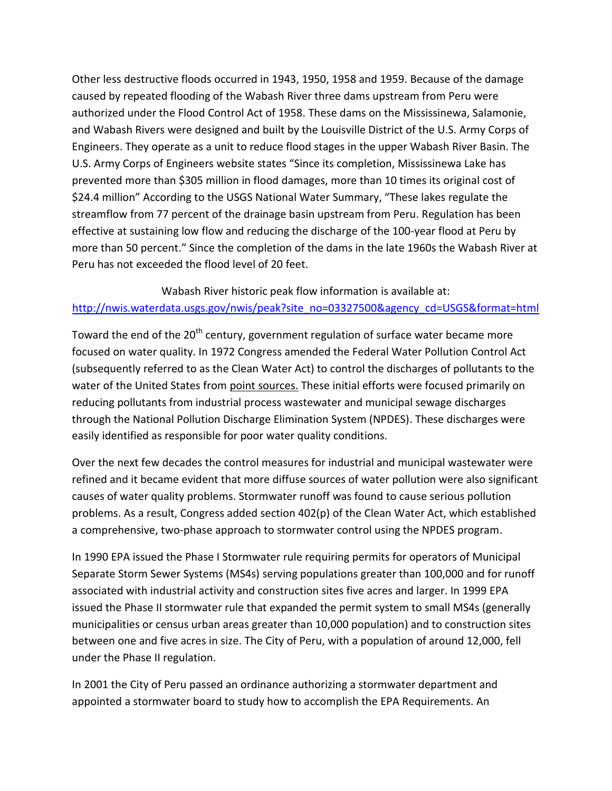Other less destructive floods occurred in 1943, 1950, 1958 and 1959. Because of the damage caused by repeated flooding of the Wabash River three dams upstream from Peru were authorized under the Flood Control Act of 1958. These dams on the Mississinewa, Salamonie, and Wabash Rivers were designed and built by the Louisville District of the U.S. Army Corps of Engineers. They operate as a unit to reduce flood stages in the upper Wabash River Basin. The U.S. Army Corps of Engineers website states "Since its completion, Mississinewa Lake has prevented more than \$305 million in flood damages, more than 10 times its original cost of \$24.4 million" According to the USGS National Water Summary, "These lakes regulate the streamflow from 77 percent of the drainage basin upstream from Peru. Regulation has been effective at sustaining low flow and reducing the discharge of the 100-year flood at Peru by more than 50 percent." Since the completion of the dams in the late 1960s the Wabash River at Peru has not exceeded the flood level of 20 feet.

## Wabash River historic peak flow information is available at: [http://nwis.waterdata.usgs.gov/nwis/peak?site\\_no=03327500&agency\\_cd=USGS&format=html](http://nwis.waterdata.usgs.gov/nwis/peak?site_no=03327500&agency_cd=USGS&format=html)

Toward the end of the 20<sup>th</sup> century, government regulation of surface water became more focused on water quality. In 1972 Congress amended the Federal Water Pollution Control Act (subsequently referred to as the Clean Water Act) to control the discharges of pollutants to the water of the United States from point sources. These initial efforts were focused primarily on reducing pollutants from industrial process wastewater and municipal sewage discharges through the National Pollution Discharge Elimination System (NPDES). These discharges were easily identified as responsible for poor water quality conditions.

Over the next few decades the control measures for industrial and municipal wastewater were refined and it became evident that more diffuse sources of water pollution were also significant causes of water quality problems. Stormwater runoff was found to cause serious pollution problems. As a result, Congress added section 402(p) of the Clean Water Act, which established a comprehensive, two-phase approach to stormwater control using the NPDES program.

In 1990 EPA issued the Phase I Stormwater rule requiring permits for operators of Municipal Separate Storm Sewer Systems (MS4s) serving populations greater than 100,000 and for runoff associated with industrial activity and construction sites five acres and larger. In 1999 EPA issued the Phase II stormwater rule that expanded the permit system to small MS4s (generally municipalities or census urban areas greater than 10,000 population) and to construction sites between one and five acres in size. The City of Peru, with a population of around 12,000, fell under the Phase II regulation.

In 2001 the City of Peru passed an ordinance authorizing a stormwater department and appointed a stormwater board to study how to accomplish the EPA Requirements. An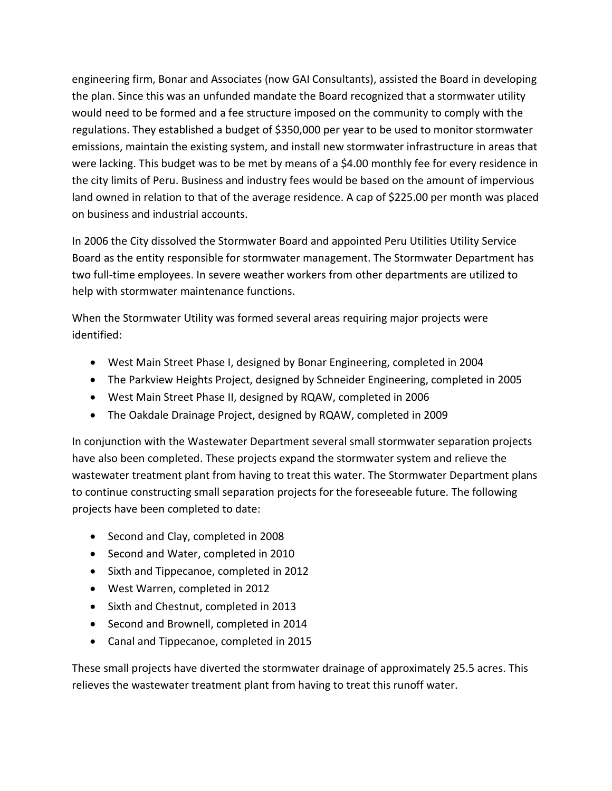engineering firm, Bonar and Associates (now GAI Consultants), assisted the Board in developing the plan. Since this was an unfunded mandate the Board recognized that a stormwater utility would need to be formed and a fee structure imposed on the community to comply with the regulations. They established a budget of \$350,000 per year to be used to monitor stormwater emissions, maintain the existing system, and install new stormwater infrastructure in areas that were lacking. This budget was to be met by means of a \$4.00 monthly fee for every residence in the city limits of Peru. Business and industry fees would be based on the amount of impervious land owned in relation to that of the average residence. A cap of \$225.00 per month was placed on business and industrial accounts.

In 2006 the City dissolved the Stormwater Board and appointed Peru Utilities Utility Service Board as the entity responsible for stormwater management. The Stormwater Department has two full-time employees. In severe weather workers from other departments are utilized to help with stormwater maintenance functions.

When the Stormwater Utility was formed several areas requiring major projects were identified:

- West Main Street Phase I, designed by Bonar Engineering, completed in 2004
- The Parkview Heights Project, designed by Schneider Engineering, completed in 2005
- West Main Street Phase II, designed by RQAW, completed in 2006
- The Oakdale Drainage Project, designed by RQAW, completed in 2009

In conjunction with the Wastewater Department several small stormwater separation projects have also been completed. These projects expand the stormwater system and relieve the wastewater treatment plant from having to treat this water. The Stormwater Department plans to continue constructing small separation projects for the foreseeable future. The following projects have been completed to date:

- Second and Clay, completed in 2008
- Second and Water, completed in 2010
- Sixth and Tippecanoe, completed in 2012
- West Warren, completed in 2012
- Sixth and Chestnut, completed in 2013
- Second and Brownell, completed in 2014
- Canal and Tippecanoe, completed in 2015

These small projects have diverted the stormwater drainage of approximately 25.5 acres. This relieves the wastewater treatment plant from having to treat this runoff water.